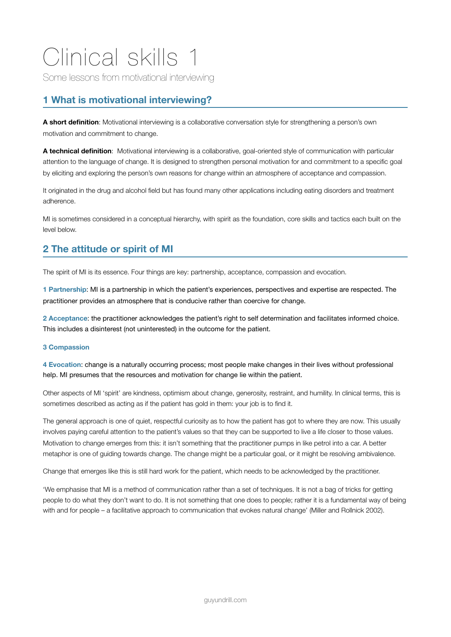# Clinical skills 1

Some lessons from motivational interviewing

# **1 What is motivational interviewing?**

**A short definition**: Motivational interviewing is a collaborative conversation style for strengthening a person's own motivation and commitment to change.

**A technical definition**: Motivational interviewing is a collaborative, goal-oriented style of communication with particular attention to the language of change. It is designed to strengthen personal motivation for and commitment to a specific goal by eliciting and exploring the person's own reasons for change within an atmosphere of acceptance and compassion.

It originated in the drug and alcohol field but has found many other applications including eating disorders and treatment adherence.

MI is sometimes considered in a conceptual hierarchy, with spirit as the foundation, core skills and tactics each built on the level below.

## **2 The attitude or spirit of MI**

The spirit of MI is its essence. Four things are key: partnership, acceptance, compassion and evocation.

**1 Partnership**: MI is a partnership in which the patient's experiences, perspectives and expertise are respected. The practitioner provides an atmosphere that is conducive rather than coercive for change.

**2 Acceptance**: the practitioner acknowledges the patient's right to self determination and facilitates informed choice. This includes a disinterest (not uninterested) in the outcome for the patient.

### **3 Compassion**

**4 Evocation**: change is a naturally occurring process; most people make changes in their lives without professional help. MI presumes that the resources and motivation for change lie within the patient.

Other aspects of MI 'spirit' are kindness, optimism about change, generosity, restraint, and humility. In clinical terms, this is sometimes described as acting as if the patient has gold in them: your job is to find it.

The general approach is one of quiet, respectful curiosity as to how the patient has got to where they are now. This usually involves paying careful attention to the patient's values so that they can be supported to live a life closer to those values. Motivation to change emerges from this: it isn't something that the practitioner pumps in like petrol into a car. A better metaphor is one of guiding towards change. The change might be a particular goal, or it might be resolving ambivalence.

Change that emerges like this is still hard work for the patient, which needs to be acknowledged by the practitioner.

'We emphasise that MI is a method of communication rather than a set of techniques. It is not a bag of tricks for getting people to do what they don't want to do. It is not something that one does to people; rather it is a fundamental way of being with and for people – a facilitative approach to communication that evokes natural change' (Miller and Rollnick 2002).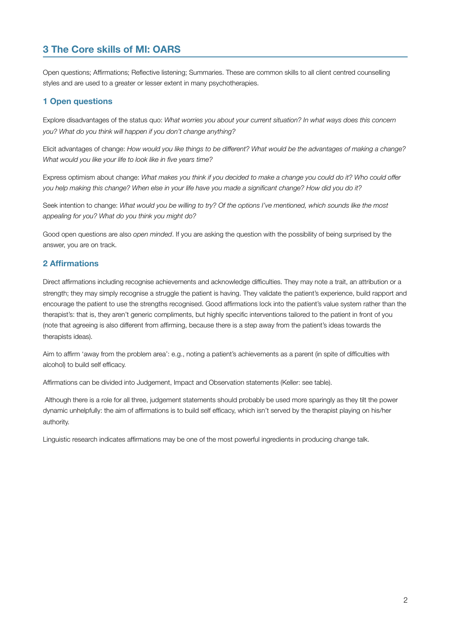# **3 The Core skills of MI: OARS**

Open questions; Affirmations; Reflective listening; Summaries. These are common skills to all client centred counselling styles and are used to a greater or lesser extent in many psychotherapies.

## **1 Open questions**

Explore disadvantages of the status quo: *What worries you about your current situation? In what ways does this concern you? What do you think will happen if you don't change anything?*

Elicit advantages of change: *How would you like things to be different? What would be the advantages of making a change? What would you like your life to look like in five years time?*

Express optimism about change: *What makes you think if you decided to make a change you could do it? Who could offer you help making this change? When else in your life have you made a significant change? How did you do it?*

Seek intention to change: *What would you be willing to try? Of the options I've mentioned, which sounds like the most appealing for you? What do you think you might do?*

Good open questions are also *open minded*. If you are asking the question with the possibility of being surprised by the answer, you are on track.

## **2 Affirmations**

Direct affirmations including recognise achievements and acknowledge difficulties. They may note a trait, an attribution or a strength; they may simply recognise a struggle the patient is having. They validate the patient's experience, build rapport and encourage the patient to use the strengths recognised. Good affirmations lock into the patient's value system rather than the therapist's: that is, they aren't generic compliments, but highly specific interventions tailored to the patient in front of you (note that agreeing is also different from affirming, because there is a step away from the patient's ideas towards the therapists ideas).

Aim to affirm 'away from the problem area': e.g., noting a patient's achievements as a parent (in spite of difficulties with alcohol) to build self efficacy.

Affirmations can be divided into Judgement, Impact and Observation statements (Keller: see table).

 Although there is a role for all three, judgement statements should probably be used more sparingly as they tilt the power dynamic unhelpfully: the aim of affirmations is to build self efficacy, which isn't served by the therapist playing on his/her authority.

Linguistic research indicates affirmations may be one of the most powerful ingredients in producing change talk.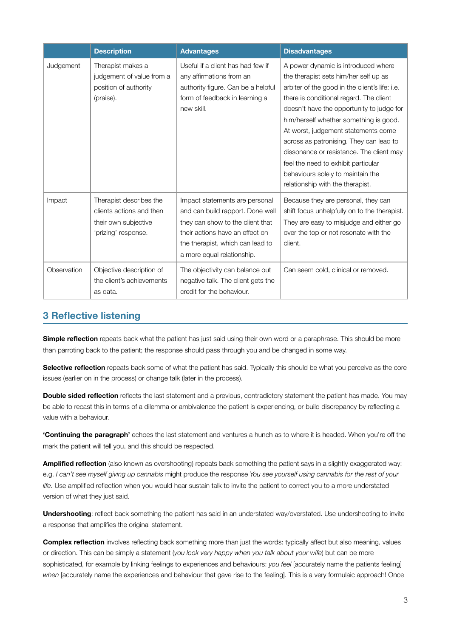|             | <b>Description</b>                                                                                 | <b>Advantages</b>                                                                                                                                                                                           | <b>Disadvantages</b>                                                                                                                                                                                                                                                                                                                                                                                                                                                                                           |
|-------------|----------------------------------------------------------------------------------------------------|-------------------------------------------------------------------------------------------------------------------------------------------------------------------------------------------------------------|----------------------------------------------------------------------------------------------------------------------------------------------------------------------------------------------------------------------------------------------------------------------------------------------------------------------------------------------------------------------------------------------------------------------------------------------------------------------------------------------------------------|
| Judgement   | Therapist makes a<br>judgement of value from a<br>position of authority<br>(praise).               | Useful if a client has had few if<br>any affirmations from an<br>authority figure. Can be a helpful<br>form of feedback in learning a<br>new skill.                                                         | A power dynamic is introduced where<br>the therapist sets him/her self up as<br>arbiter of the good in the client's life: i.e.<br>there is conditional regard. The client<br>doesn't have the opportunity to judge for<br>him/herself whether something is good.<br>At worst, judgement statements come<br>across as patronising. They can lead to<br>dissonance or resistance. The client may<br>feel the need to exhibit particular<br>behaviours solely to maintain the<br>relationship with the therapist. |
| Impact      | Therapist describes the<br>clients actions and then<br>their own subjective<br>'prizing' response. | Impact statements are personal<br>and can build rapport. Done well<br>they can show to the client that<br>their actions have an effect on<br>the therapist, which can lead to<br>a more equal relationship. | Because they are personal, they can<br>shift focus unhelpfully on to the therapist.<br>They are easy to misjudge and either go<br>over the top or not resonate with the<br>client.                                                                                                                                                                                                                                                                                                                             |
| Observation | Objective description of<br>the client's achievements<br>as data.                                  | The objectivity can balance out<br>negative talk. The client gets the<br>credit for the behaviour.                                                                                                          | Can seem cold, clinical or removed.                                                                                                                                                                                                                                                                                                                                                                                                                                                                            |

## **3 Reflective listening**

**Simple reflection** repeats back what the patient has just said using their own word or a paraphrase. This should be more than parroting back to the patient; the response should pass through you and be changed in some way.

**Selective reflection** repeats back some of what the patient has said. Typically this should be what you perceive as the core issues (earlier on in the process) or change talk (later in the process).

**Double sided reflection** reflects the last statement and a previous, contradictory statement the patient has made. You may be able to recast this in terms of a dilemma or ambivalence the patient is experiencing, or build discrepancy by reflecting a value with a behaviour.

**'Continuing the paragraph'** echoes the last statement and ventures a hunch as to where it is headed. When you're off the mark the patient will tell you, and this should be respected.

**Amplified reflection** (also known as overshooting) repeats back something the patient says in a slightly exaggerated way: e.g. *I can't see myself giving up cannabis* might produce the response *You see yourself using cannabis for the rest of your life*. Use amplified reflection when you would hear sustain talk to invite the patient to correct you to a more understated version of what they just said.

**Undershooting**: reflect back something the patient has said in an understated way/overstated. Use undershooting to invite a response that amplifies the original statement.

**Complex reflection** involves reflecting back something more than just the words: typically affect but also meaning, values or direction. This can be simply a statement (*you look very happy when you talk about your wife*) but can be more sophisticated, for example by linking feelings to experiences and behaviours: *you feel* [accurately name the patients feeling] *when* [accurately name the experiences and behaviour that gave rise to the feeling]. This is a very formulaic approach! Once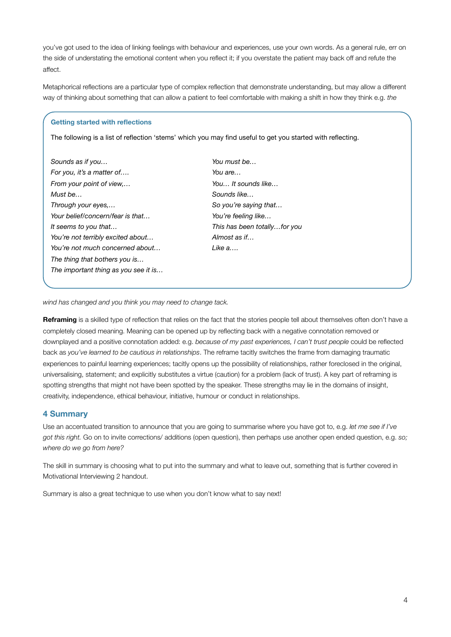you've got used to the idea of linking feelings with behaviour and experiences, use your own words. As a general rule, err on the side of understating the emotional content when you reflect it; if you overstate the patient may back off and refute the affect.

Metaphorical reflections are a particular type of complex reflection that demonstrate understanding, but may allow a different way of thinking about something that can allow a patient to feel comfortable with making a shift in how they think e.g. *the* 

#### **Getting started with reflections**

The following is a list of reflection 'stems' which you may find useful to get you started with reflecting.

| Sounds as if you                     |  |  |
|--------------------------------------|--|--|
| For you, it's a matter of            |  |  |
| From your point of view,             |  |  |
| Must be                              |  |  |
| Through your eyes,                   |  |  |
| Your belief/concern/fear is that     |  |  |
| It seems to you that                 |  |  |
| You're not terribly excited about    |  |  |
| You're not much concerned about      |  |  |
| The thing that bothers you is        |  |  |
| The important thing as you see it is |  |  |
|                                      |  |  |

| You must be                  |
|------------------------------|
| You are                      |
| You It sounds like           |
| Sounds like                  |
| So you're saying that        |
| You're feeling like          |
| This has been totallyfor you |
| Almost as if…                |
| Like a….                     |

*wind has changed and you think you may need to change tack.*

**Reframing** is a skilled type of reflection that relies on the fact that the stories people tell about themselves often don't have a completely closed meaning. Meaning can be opened up by reflecting back with a negative connotation removed or downplayed and a positive connotation added: e.g. *because of my past experiences, I can't trust people* could be reflected back as *you've learned to be cautious in relationships*. The reframe tacitly switches the frame from damaging traumatic experiences to painful learning experiences; tacitly opens up the possibility of relationships, rather foreclosed in the original, universalising, statement; and explicitly substitutes a virtue (caution) for a problem (lack of trust). A key part of reframing is spotting strengths that might not have been spotted by the speaker. These strengths may lie in the domains of insight, creativity, independence, ethical behaviour, initiative, humour or conduct in relationships.

### **4 Summary**

Use an accentuated transition to announce that you are going to summarise where you have got to, e.g. *let me see if I've got this right.* Go on to invite corrections/ additions (open question), then perhaps use another open ended question, e.g. *so; where do we go from here?*

The skill in summary is choosing what to put into the summary and what to leave out, something that is further covered in Motivational Interviewing 2 handout.

Summary is also a great technique to use when you don't know what to say next!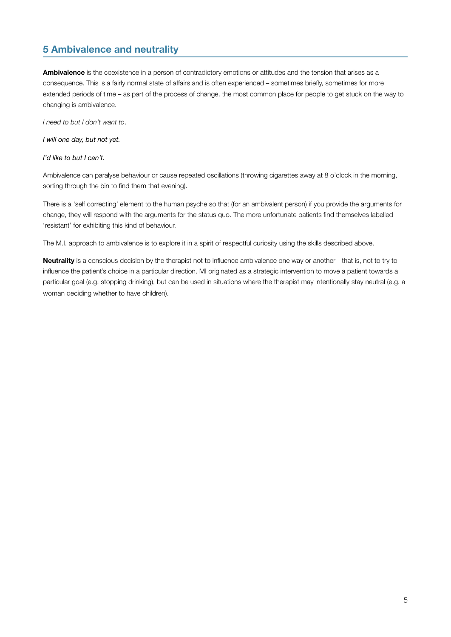## **5 Ambivalence and neutrality**

**Ambivalence** is the coexistence in a person of contradictory emotions or attitudes and the tension that arises as a consequence. This is a fairly normal state of affairs and is often experienced – sometimes briefly, sometimes for more extended periods of time – as part of the process of change. the most common place for people to get stuck on the way to changing is ambivalence.

*I need to but I don't want to*.

*I will one day, but not yet.*

*I'd like to but I can't.*

Ambivalence can paralyse behaviour or cause repeated oscillations (throwing cigarettes away at 8 o'clock in the morning, sorting through the bin to find them that evening).

There is a 'self correcting' element to the human psyche so that (for an ambivalent person) if you provide the arguments for change, they will respond with the arguments for the status quo. The more unfortunate patients find themselves labelled 'resistant' for exhibiting this kind of behaviour.

The M.I. approach to ambivalence is to explore it in a spirit of respectful curiosity using the skills described above.

**Neutrality** is a conscious decision by the therapist not to influence ambivalence one way or another - that is, not to try to influence the patient's choice in a particular direction. MI originated as a strategic intervention to move a patient towards a particular goal (e.g. stopping drinking), but can be used in situations where the therapist may intentionally stay neutral (e.g. a woman deciding whether to have children).